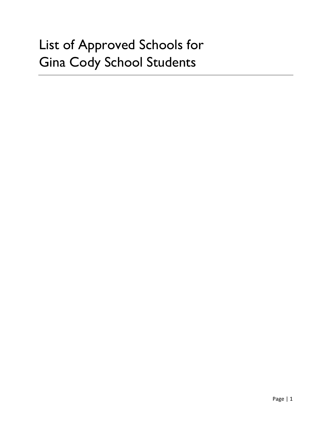# List of Approved Schools for Gina Cody School Students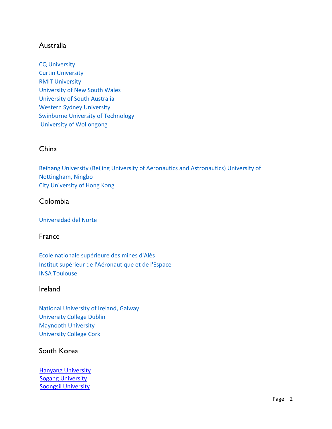# Australia

[CQ University](https://www.cqu.edu.au/) [Curtin University](https://www.curtin.edu.au/) [RMIT](https://www.rmit.edu.au/) University [University of New South Wales](https://www.unsw.edu.au/) [University of South Australia](https://www.unisa.edu.au/) [Western Sydney University](https://www.westernsydney.edu.au/) [Swinburne University of Technology](http://www.swinburne.edu.au/) [University of Wollongong](https://www.uow.edu.au/index.html)

#### China

[Beihang University \(Beijing University of](https://www.buaa.edu.cn/) [Aeronautics and Astronautics\)](https://www.buaa.edu.cn/) [University of](http://www.nottingham.edu.cn/)  [Nottingham, Ningbo](http://www.nottingham.edu.cn/) [City University of Hong Kong](http://www.cityu.edu.hk/)

## Colombia

#### [Universidad del Norte](https://www.uninorte.edu.co/)

#### France

[Ecole nationale supérieure des mines d'Alès](http://www.mines-ales.fr/) [Institut supérieur de l'Aéronautique et de](https://www.isae-supaero.fr/fr/) [l'Espace](https://www.isae-supaero.fr/fr/) [INSA Toulouse](http://www.insa-toulouse.fr/)

#### Ireland

[National University of Ireland, Galway](http://www.nuigalway.ie/) [University College Dublin](http://www.ucd.ie/global/) [Maynooth University](https://www.maynoothuniversity.ie/) [University College Cork](https://www.ucc.ie/)

## South Korea

**[Hanyang University](https://www.hanyang.ac.kr/web/eng)**  [Sogang University](http://wwwe.sogang.ac.kr/) [Soongsil University](http://pre.ssu.ac.kr/web/eng/home)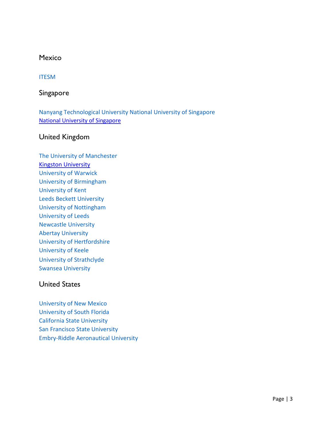#### Mexico

#### [ITESM](http://www.itesm.mx/wps/wcm/connect/Campus/MTY/Monterrey)

## Singapore

[Nanyang Technological University](https://www.ntu.edu.sg/Pages/home.aspx) [National University of Singapore](http://www.nus.edu.sg/) [National University of Singapore](http://www.nus.edu.sg/gro/global-programmes/student-exchange/outgoing-exchangers)

#### United Kingdom

[The University of Manchester](https://www.manchester.ac.uk/) [Kingston University](https://moveon-form.concordia.ca/publisher/institution/1/1011/eng?relTypes=4|%206&frmTypes=2|5&acadYears=&acadPeriods=&directions=2&defaultRelStatus=2&inst_int_settings_filter=2|3|4|5|6&acad_year_display=&acad_period_display=&document_types=2&restriction_types=1&restriction_id_filter=&inst_document_types=&inst_restriction_types=&keyword=&country=232&institution_external=&instance=1&publisherId=1) [University of Warwick](https://warwick.ac.uk/) [University of Birmingham](https://www.birmingham.ac.uk/index.aspx) [University of Kent](https://www.kent.ac.uk/) [Leeds Beckett University](https://www.leedsbeckett.ac.uk/study-abroad/inbound-exchange/what-can-i-study/) [University of Nottingham](https://www.nottingham.ac.uk/) [University of Leeds](https://www.nottingham.ac.uk/) [Newcastle University](https://www.ncl.ac.uk/) [Abertay University](https://www.abertay.ac.uk/) [University of Hertfordshire](https://www.herts.ac.uk/) [University of Keele](https://www.keele.ac.uk/) [University of Strathclyde](https://www.strath.ac.uk/) [Swansea University](http://www.swansea.ac.uk/)

# United States

[University of New Mexico](http://www.unm.edu/) [University of South Florida](http://www.usf.edu/) [California State University](http://www.calstatela.edu/) [San Francisco](http://www.sfsu.edu/) State University [Embry-Riddle Aeronautical University](https://erau.edu/)